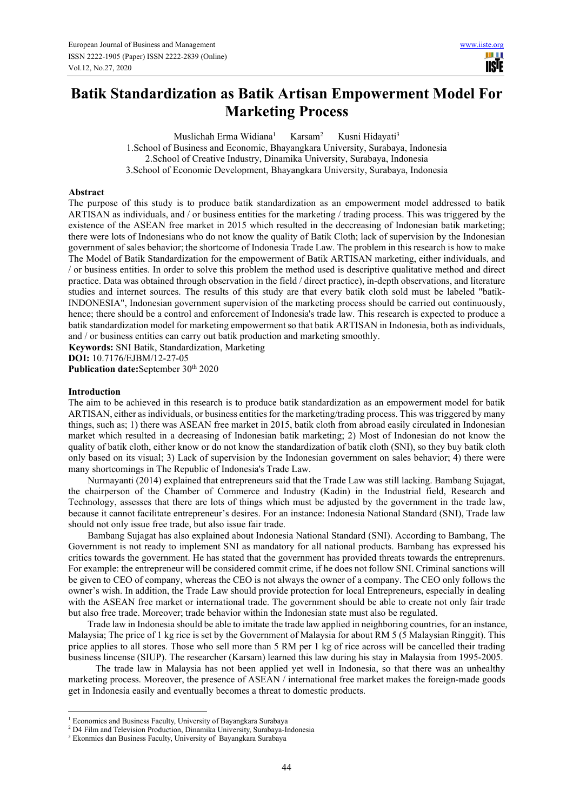# **Batik Standardization as Batik Artisan Empowerment Model For Marketing Process**

Muslichah Erma Widiana<sup>1</sup> Karsam<sup>2</sup> Kusni Hidayati<sup>3</sup> 1.School of Business and Economic, Bhayangkara University, Surabaya, Indonesia 2.School of Creative Industry, Dinamika University, Surabaya, Indonesia 3.School of Economic Development, Bhayangkara University, Surabaya, Indonesia

### **Abstract**

The purpose of this study is to produce batik standardization as an empowerment model addressed to batik ARTISAN as individuals, and / or business entities for the marketing / trading process. This was triggered by the existence of the ASEAN free market in 2015 which resulted in the deccreasing of Indonesian batik marketing; there were lots of Indonesians who do not know the quality of Batik Cloth; lack of supervision by the Indonesian government of sales behavior; the shortcome of Indonesia Trade Law. The problem in this research is how to make The Model of Batik Standardization for the empowerment of Batik ARTISAN marketing, either individuals, and / or business entities. In order to solve this problem the method used is descriptive qualitative method and direct practice. Data was obtained through observation in the field / direct practice), in-depth observations, and literature studies and internet sources. The results of this study are that every batik cloth sold must be labeled "batik-INDONESIA", Indonesian government supervision of the marketing process should be carried out continuously, hence; there should be a control and enforcement of Indonesia's trade law. This research is expected to produce a batik standardization model for marketing empowerment so that batik ARTISAN in Indonesia, both as individuals, and / or business entities can carry out batik production and marketing smoothly.

**Keywords:** SNI Batik, Standardization, Marketing

**DOI:** 10.7176/EJBM/12-27-05

Publication date:September 30<sup>th</sup> 2020

### **Introduction**

The aim to be achieved in this research is to produce batik standardization as an empowerment model for batik ARTISAN, either as individuals, or business entities for the marketing/trading process. This was triggered by many things, such as; 1) there was ASEAN free market in 2015, batik cloth from abroad easily circulated in Indonesian market which resulted in a decreasing of Indonesian batik marketing; 2) Most of Indonesian do not know the quality of batik cloth, either know or do not know the standardization of batik cloth (SNI), so they buy batik cloth only based on its visual; 3) Lack of supervision by the Indonesian government on sales behavior; 4) there were many shortcomings in The Republic of Indonesia's Trade Law.

Nurmayanti (2014) explained that entrepreneurs said that the Trade Law was still lacking. Bambang Sujagat, the chairperson of the Chamber of Commerce and Industry (Kadin) in the Industrial field, Research and Technology, assesses that there are lots of things which must be adjusted by the government in the trade law, because it cannot facilitate entrepreneur's desires. For an instance: Indonesia National Standard (SNI), Trade law should not only issue free trade, but also issue fair trade.

Bambang Sujagat has also explained about Indonesia National Standard (SNI). According to Bambang, The Government is not ready to implement SNI as mandatory for all national products. Bambang has expressed his critics towards the government. He has stated that the government has provided threats towards the entreprenurs. For example: the entrepreneur will be considered commit crime, if he does not follow SNI. Criminal sanctions will be given to CEO of company, whereas the CEO is not always the owner of a company. The CEO only follows the owner's wish. In addition, the Trade Law should provide protection for local Entrepreneurs, especially in dealing with the ASEAN free market or international trade. The government should be able to create not only fair trade but also free trade. Moreover; trade behavior within the Indonesian state must also be regulated.

Trade law in Indonesia should be able to imitate the trade law applied in neighboring countries, for an instance, Malaysia; The price of 1 kg rice is set by the Government of Malaysia for about RM 5 (5 Malaysian Ringgit). This price applies to all stores. Those who sell more than 5 RM per 1 kg of rice across will be cancelled their trading business lincense (SIUP). The researcher (Karsam) learned this law during his stay in Malaysia from 1995-2005.

The trade law in Malaysia has not been applied yet well in Indonesia, so that there was an unhealthy marketing process. Moreover, the presence of ASEAN / international free market makes the foreign-made goods get in Indonesia easily and eventually becomes a threat to domestic products.

<sup>&</sup>lt;sup>1</sup> Economics and Business Faculty, University of Bayangkara Surabaya

<sup>&</sup>lt;sup>2</sup> D4 Film and Television Production, Dinamika University, Surabaya-Indonesia

<sup>3</sup> Ekonmics dan Business Faculty, University of Bayangkara Surabaya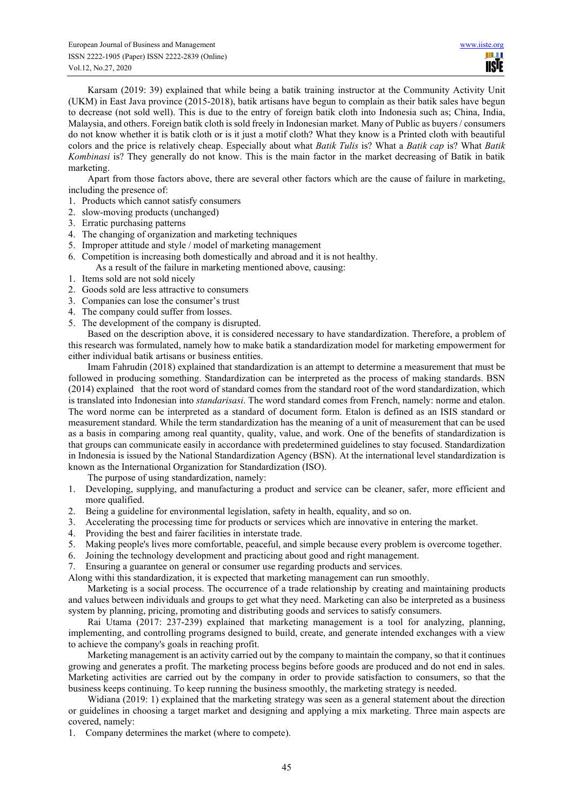Karsam (2019: 39) explained that while being a batik training instructor at the Community Activity Unit (UKM) in East Java province (2015-2018), batik artisans have begun to complain as their batik sales have begun to decrease (not sold well). This is due to the entry of foreign batik cloth into Indonesia such as; China, India, Malaysia, and others. Foreign batik cloth is sold freely in Indonesian market. Many of Public as buyers / consumers do not know whether it is batik cloth or is it just a motif cloth? What they know is a Printed cloth with beautiful colors and the price is relatively cheap. Especially about what *Batik Tulis* is? What a *Batik cap* is? What *Batik Kombinasi* is? They generally do not know. This is the main factor in the market decreasing of Batik in batik marketing.

Apart from those factors above, there are several other factors which are the cause of failure in marketing, including the presence of:

- 1. Products which cannot satisfy consumers
- 2. slow-moving products (unchanged)
- 3. Erratic purchasing patterns
- 4. The changing of organization and marketing techniques
- 5. Improper attitude and style / model of marketing management
- 6. Competition is increasing both domestically and abroad and it is not healthy.
- As a result of the failure in marketing mentioned above, causing:
- 1. Items sold are not sold nicely
- 2. Goods sold are less attractive to consumers
- 3. Companies can lose the consumer's trust
- 4. The company could suffer from losses.
- 5. The development of the company is disrupted.

Based on the description above, it is considered necessary to have standardization. Therefore, a problem of this research was formulated, namely how to make batik a standardization model for marketing empowerment for either individual batik artisans or business entities.

Imam Fahrudin (2018) explained that standardization is an attempt to determine a measurement that must be followed in producing something. Standardization can be interpreted as the process of making standards. BSN (2014) explained that the root word of standard comes from the standard root of the word standardization, which is translated into Indonesian into *standarisasi*. The word standard comes from French, namely: norme and etalon. The word norme can be interpreted as a standard of document form. Etalon is defined as an ISIS standard or measurement standard. While the term standardization has the meaning of a unit of measurement that can be used as a basis in comparing among real quantity, quality, value, and work. One of the benefits of standardization is that groups can communicate easily in accordance with predetermined guidelines to stay focused. Standardization in Indonesia is issued by the National Standardization Agency (BSN). At the international level standardization is known as the International Organization for Standardization (ISO).

The purpose of using standardization, namely:

- 1. Developing, supplying, and manufacturing a product and service can be cleaner, safer, more efficient and more qualified.
- 2. Being a guideline for environmental legislation, safety in health, equality, and so on.
- 3. Accelerating the processing time for products or services which are innovative in entering the market.
- 4. Providing the best and fairer facilities in interstate trade.
- 5. Making people's lives more comfortable, peaceful, and simple because every problem is overcome together.
- 6. Joining the technology development and practicing about good and right management.
- 7. Ensuring a guarantee on general or consumer use regarding products and services.
- Along withi this standardization, it is expected that marketing management can run smoothly.

Marketing is a social process. The occurrence of a trade relationship by creating and maintaining products and values between individuals and groups to get what they need. Marketing can also be interpreted as a business system by planning, pricing, promoting and distributing goods and services to satisfy consumers.

Rai Utama (2017: 237-239) explained that marketing management is a tool for analyzing, planning, implementing, and controlling programs designed to build, create, and generate intended exchanges with a view to achieve the company's goals in reaching profit.

Marketing management is an activity carried out by the company to maintain the company, so that it continues growing and generates a profit. The marketing process begins before goods are produced and do not end in sales. Marketing activities are carried out by the company in order to provide satisfaction to consumers, so that the business keeps continuing. To keep running the business smoothly, the marketing strategy is needed.

Widiana (2019: 1) explained that the marketing strategy was seen as a general statement about the direction or guidelines in choosing a target market and designing and applying a mix marketing. Three main aspects are covered, namely:

1. Company determines the market (where to compete).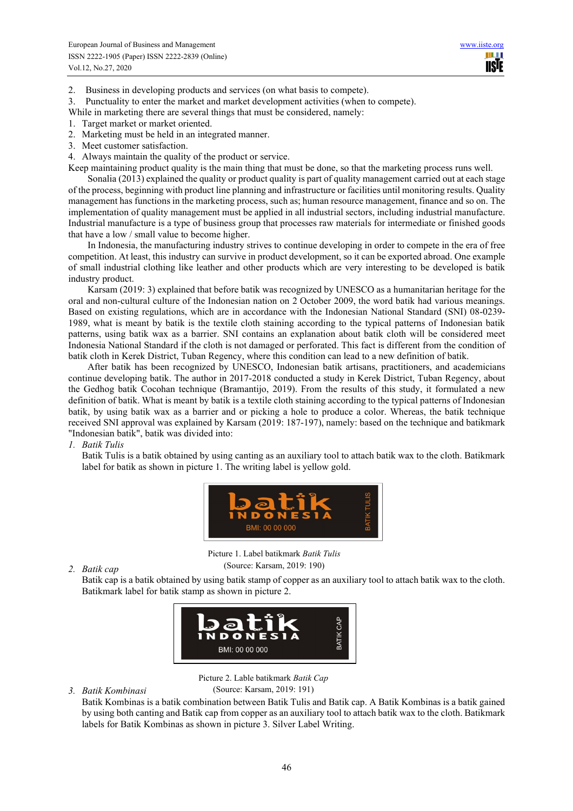2. Business in developing products and services (on what basis to compete).

3. Punctuality to enter the market and market development activities (when to compete).

While in marketing there are several things that must be considered, namely:

- 1. Target market or market oriented.
- 2. Marketing must be held in an integrated manner.
- 3. Meet customer satisfaction.
- 4. Always maintain the quality of the product or service.

Keep maintaining product quality is the main thing that must be done, so that the marketing process runs well.

Sonalia (2013) explained the quality or product quality is part of quality management carried out at each stage of the process, beginning with product line planning and infrastructure or facilities until monitoring results. Quality management has functions in the marketing process, such as; human resource management, finance and so on. The implementation of quality management must be applied in all industrial sectors, including industrial manufacture. Industrial manufacture is a type of business group that processes raw materials for intermediate or finished goods that have a low / small value to become higher.

In Indonesia, the manufacturing industry strives to continue developing in order to compete in the era of free competition. At least, this industry can survive in product development, so it can be exported abroad. One example of small industrial clothing like leather and other products which are very interesting to be developed is batik industry product.

Karsam (2019: 3) explained that before batik was recognized by UNESCO as a humanitarian heritage for the oral and non-cultural culture of the Indonesian nation on 2 October 2009, the word batik had various meanings. Based on existing regulations, which are in accordance with the Indonesian National Standard (SNI) 08-0239- 1989, what is meant by batik is the textile cloth staining according to the typical patterns of Indonesian batik patterns, using batik wax as a barrier. SNI contains an explanation about batik cloth will be considered meet Indonesia National Standard if the cloth is not damaged or perforated. This fact is different from the condition of batik cloth in Kerek District, Tuban Regency, where this condition can lead to a new definition of batik.

After batik has been recognized by UNESCO, Indonesian batik artisans, practitioners, and academicians continue developing batik. The author in 2017-2018 conducted a study in Kerek District, Tuban Regency, about the Gedhog batik Cocohan technique (Bramantijo, 2019). From the results of this study, it formulated a new definition of batik. What is meant by batik is a textile cloth staining according to the typical patterns of Indonesian batik, by using batik wax as a barrier and or picking a hole to produce a color. Whereas, the batik technique received SNI approval was explained by Karsam (2019: 187-197), namely: based on the technique and batikmark "Indonesian batik", batik was divided into:

*1. Batik Tulis* 

Batik Tulis is a batik obtained by using canting as an auxiliary tool to attach batik wax to the cloth. Batikmark label for batik as shown in picture 1. The writing label is yellow gold.



Picture 1. Label batikmark *Batik Tulis* (Source: Karsam, 2019: 190)

### *2. Batik cap*

Batik cap is a batik obtained by using batik stamp of copper as an auxiliary tool to attach batik wax to the cloth. Batikmark label for batik stamp as shown in picture 2.



Picture 2. Lable batikmark *Batik Cap* (Source: Karsam, 2019: 191)

*3. Batik Kombinasi* 

Batik Kombinas is a batik combination between Batik Tulis and Batik cap. A Batik Kombinas is a batik gained by using both canting and Batik cap from copper as an auxiliary tool to attach batik wax to the cloth. Batikmark labels for Batik Kombinas as shown in picture 3. Silver Label Writing.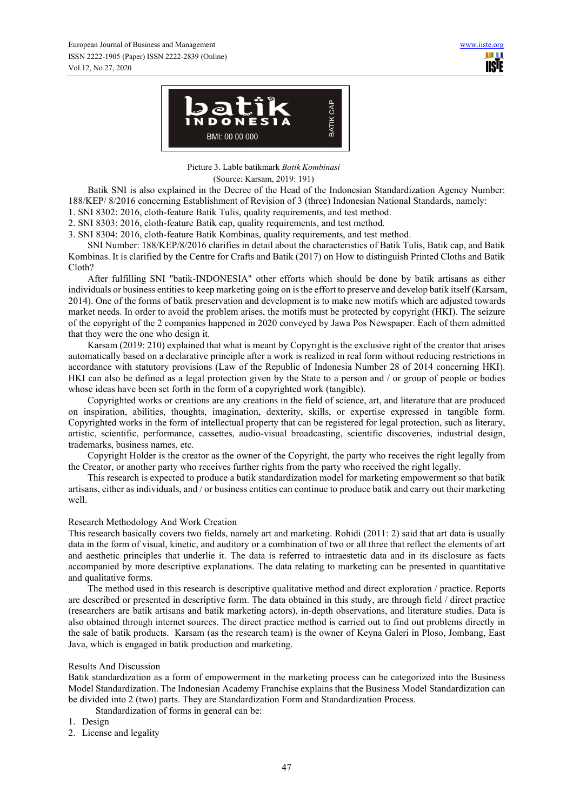

Picture 3. Lable batikmark *Batik Kombinasi*

(Source: Karsam, 2019: 191)

Batik SNI is also explained in the Decree of the Head of the Indonesian Standardization Agency Number: 188/KEP/ 8/2016 concerning Establishment of Revision of 3 (three) Indonesian National Standards, namely:

1. SNI 8302: 2016, cloth-feature Batik Tulis, quality requirements, and test method.

2. SNI 8303: 2016, cloth-feature Batik cap, quality requirements, and test method.

3. SNI 8304: 2016, cloth-feature Batik Kombinas, quality requirements, and test method.

SNI Number: 188/KEP/8/2016 clarifies in detail about the characteristics of Batik Tulis, Batik cap, and Batik Kombinas. It is clarified by the Centre for Crafts and Batik (2017) on How to distinguish Printed Cloths and Batik Cloth?

After fulfilling SNI "batik-INDONESIA" other efforts which should be done by batik artisans as either individuals or business entities to keep marketing going on is the effort to preserve and develop batik itself (Karsam, 2014). One of the forms of batik preservation and development is to make new motifs which are adjusted towards market needs. In order to avoid the problem arises, the motifs must be protected by copyright (HKI). The seizure of the copyright of the 2 companies happened in 2020 conveyed by Jawa Pos Newspaper. Each of them admitted that they were the one who design it.

Karsam (2019: 210) explained that what is meant by Copyright is the exclusive right of the creator that arises automatically based on a declarative principle after a work is realized in real form without reducing restrictions in accordance with statutory provisions (Law of the Republic of Indonesia Number 28 of 2014 concerning HKI). HKI can also be defined as a legal protection given by the State to a person and / or group of people or bodies whose ideas have been set forth in the form of a copyrighted work (tangible).

Copyrighted works or creations are any creations in the field of science, art, and literature that are produced on inspiration, abilities, thoughts, imagination, dexterity, skills, or expertise expressed in tangible form. Copyrighted works in the form of intellectual property that can be registered for legal protection, such as literary, artistic, scientific, performance, cassettes, audio-visual broadcasting, scientific discoveries, industrial design, trademarks, business names, etc.

Copyright Holder is the creator as the owner of the Copyright, the party who receives the right legally from the Creator, or another party who receives further rights from the party who received the right legally.

This research is expected to produce a batik standardization model for marketing empowerment so that batik artisans, either as individuals, and / or business entities can continue to produce batik and carry out their marketing well.

# Research Methodology And Work Creation

This research basically covers two fields, namely art and marketing. Rohidi (2011: 2) said that art data is usually data in the form of visual, kinetic, and auditory or a combination of two or all three that reflect the elements of art and aesthetic principles that underlie it. The data is referred to intraestetic data and in its disclosure as facts accompanied by more descriptive explanations. The data relating to marketing can be presented in quantitative and qualitative forms.

The method used in this research is descriptive qualitative method and direct exploration / practice. Reports are described or presented in descriptive form. The data obtained in this study, are through field / direct practice (researchers are batik artisans and batik marketing actors), in-depth observations, and literature studies. Data is also obtained through internet sources. The direct practice method is carried out to find out problems directly in the sale of batik products. Karsam (as the research team) is the owner of Keyna Galeri in Ploso, Jombang, East Java, which is engaged in batik production and marketing.

# Results And Discussion

Batik standardization as a form of empowerment in the marketing process can be categorized into the Business Model Standardization. The Indonesian Academy Franchise explains that the Business Model Standardization can be divided into 2 (two) parts. They are Standardization Form and Standardization Process.

Standardization of forms in general can be:

- 1. Design
- 2. License and legality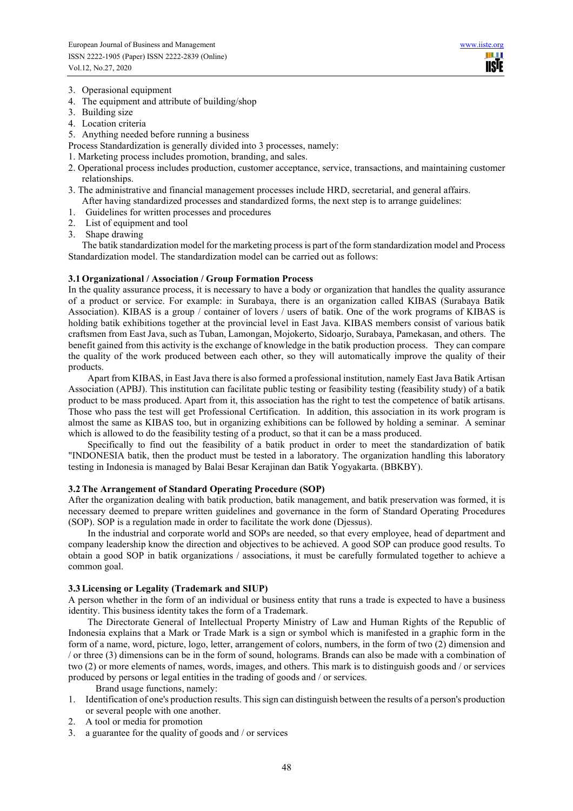- 3. Operasional equipment
- 4. The equipment and attribute of building/shop
- 3. Building size
- 4. Location criteria
- 5. Anything needed before running a business
- Process Standardization is generally divided into 3 processes, namely:
- 1. Marketing process includes promotion, branding, and sales.
- 2. Operational process includes production, customer acceptance, service, transactions, and maintaining customer relationships.
- 3. The administrative and financial management processes include HRD, secretarial, and general affairs.
- After having standardized processes and standardized forms, the next step is to arrange guidelines:
- 1. Guidelines for written processes and procedures
- 2. List of equipment and tool
- 3. Shape drawing

The batik standardization model for the marketing process is part of the form standardization model and Process Standardization model. The standardization model can be carried out as follows:

### **3.1 Organizational / Association / Group Formation Process**

In the quality assurance process, it is necessary to have a body or organization that handles the quality assurance of a product or service. For example: in Surabaya, there is an organization called KIBAS (Surabaya Batik Association). KIBAS is a group / container of lovers / users of batik. One of the work programs of KIBAS is holding batik exhibitions together at the provincial level in East Java. KIBAS members consist of various batik craftsmen from East Java, such as Tuban, Lamongan, Mojokerto, Sidoarjo, Surabaya, Pamekasan, and others. The benefit gained from this activity is the exchange of knowledge in the batik production process. They can compare the quality of the work produced between each other, so they will automatically improve the quality of their products.

Apart from KIBAS, in East Java there is also formed a professional institution, namely East Java Batik Artisan Association (APBJ). This institution can facilitate public testing or feasibility testing (feasibility study) of a batik product to be mass produced. Apart from it, this association has the right to test the competence of batik artisans. Those who pass the test will get Professional Certification. In addition, this association in its work program is almost the same as KIBAS too, but in organizing exhibitions can be followed by holding a seminar. A seminar which is allowed to do the feasibility testing of a product, so that it can be a mass produced.

Specifically to find out the feasibility of a batik product in order to meet the standardization of batik "INDONESIA batik, then the product must be tested in a laboratory. The organization handling this laboratory testing in Indonesia is managed by Balai Besar Kerajinan dan Batik Yogyakarta. (BBKBY).

### **3.2 The Arrangement of Standard Operating Procedure (SOP)**

After the organization dealing with batik production, batik management, and batik preservation was formed, it is necessary deemed to prepare written guidelines and governance in the form of Standard Operating Procedures (SOP). SOP is a regulation made in order to facilitate the work done (Djessus).

In the industrial and corporate world and SOPs are needed, so that every employee, head of department and company leadership know the direction and objectives to be achieved. A good SOP can produce good results. To obtain a good SOP in batik organizations / associations, it must be carefully formulated together to achieve a common goal.

### **3.3 Licensing or Legality (Trademark and SIUP)**

A person whether in the form of an individual or business entity that runs a trade is expected to have a business identity. This business identity takes the form of a Trademark.

The Directorate General of Intellectual Property Ministry of Law and Human Rights of the Republic of Indonesia explains that a Mark or Trade Mark is a sign or symbol which is manifested in a graphic form in the form of a name, word, picture, logo, letter, arrangement of colors, numbers, in the form of two (2) dimension and / or three (3) dimensions can be in the form of sound, holograms. Brands can also be made with a combination of two (2) or more elements of names, words, images, and others. This mark is to distinguish goods and / or services produced by persons or legal entities in the trading of goods and / or services.

Brand usage functions, namely:

- 1. Identification of one's production results. This sign can distinguish between the results of a person's production or several people with one another.
- 2. A tool or media for promotion
- 3. a guarantee for the quality of goods and / or services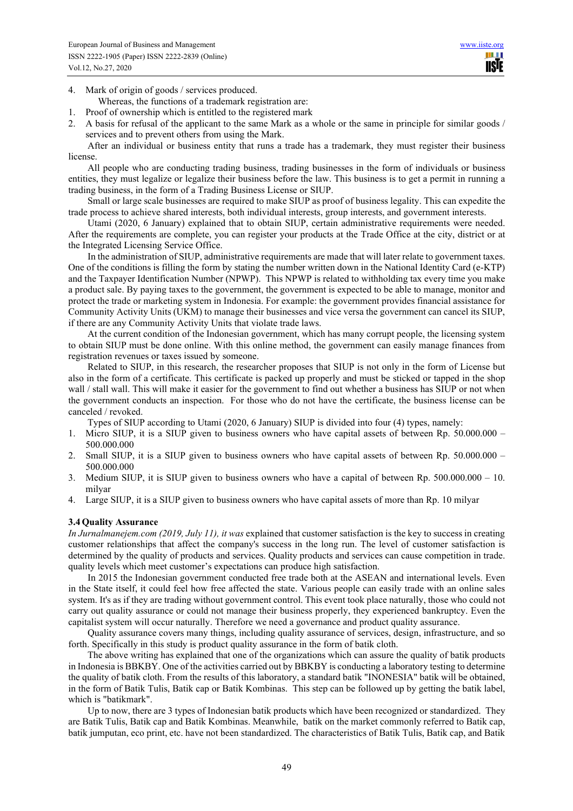4. Mark of origin of goods / services produced.

Whereas, the functions of a trademark registration are:

- 1. Proof of ownership which is entitled to the registered mark
- 2. A basis for refusal of the applicant to the same Mark as a whole or the same in principle for similar goods / services and to prevent others from using the Mark.

After an individual or business entity that runs a trade has a trademark, they must register their business license.

All people who are conducting trading business, trading businesses in the form of individuals or business entities, they must legalize or legalize their business before the law. This business is to get a permit in running a trading business, in the form of a Trading Business License or SIUP.

Small or large scale businesses are required to make SIUP as proof of business legality. This can expedite the trade process to achieve shared interests, both individual interests, group interests, and government interests.

Utami (2020, 6 January) explained that to obtain SIUP, certain administrative requirements were needed. After the requirements are complete, you can register your products at the Trade Office at the city, district or at the Integrated Licensing Service Office.

In the administration of SIUP, administrative requirements are made that will later relate to government taxes. One of the conditions is filling the form by stating the number written down in the National Identity Card (e-KTP) and the Taxpayer Identification Number (NPWP). This NPWP is related to withholding tax every time you make a product sale. By paying taxes to the government, the government is expected to be able to manage, monitor and protect the trade or marketing system in Indonesia. For example: the government provides financial assistance for Community Activity Units (UKM) to manage their businesses and vice versa the government can cancel its SIUP, if there are any Community Activity Units that violate trade laws.

At the current condition of the Indonesian government, which has many corrupt people, the licensing system to obtain SIUP must be done online. With this online method, the government can easily manage finances from registration revenues or taxes issued by someone.

Related to SIUP, in this research, the researcher proposes that SIUP is not only in the form of License but also in the form of a certificate. This certificate is packed up properly and must be sticked or tapped in the shop wall / stall wall. This will make it easier for the government to find out whether a business has SIUP or not when the government conducts an inspection. For those who do not have the certificate, the business license can be canceled / revoked.

Types of SIUP according to Utami (2020, 6 January) SIUP is divided into four (4) types, namely:

- 1. Micro SIUP, it is a SIUP given to business owners who have capital assets of between Rp. 50.000.000 500.000.000
- 2. Small SIUP, it is a SIUP given to business owners who have capital assets of between Rp. 50.000.000 500.000.000
- 3. Medium SIUP, it is SIUP given to business owners who have a capital of between Rp. 500.000.000 10. milyar
- 4. Large SIUP, it is a SIUP given to business owners who have capital assets of more than Rp. 10 milyar

### **3.4 Quality Assurance**

*In Jurnalmanejem.com (2019, July 11), it was* explained that customer satisfaction is the key to success in creating customer relationships that affect the company's success in the long run. The level of customer satisfaction is determined by the quality of products and services. Quality products and services can cause competition in trade. quality levels which meet customer's expectations can produce high satisfaction.

In 2015 the Indonesian government conducted free trade both at the ASEAN and international levels. Even in the State itself, it could feel how free affected the state. Various people can easily trade with an online sales system. It's as if they are trading without government control. This event took place naturally, those who could not carry out quality assurance or could not manage their business properly, they experienced bankruptcy. Even the capitalist system will occur naturally. Therefore we need a governance and product quality assurance.

Quality assurance covers many things, including quality assurance of services, design, infrastructure, and so forth. Specifically in this study is product quality assurance in the form of batik cloth.

The above writing has explained that one of the organizations which can assure the quality of batik products in Indonesia is BBKBY. One of the activities carried out by BBKBY is conducting a laboratory testing to determine the quality of batik cloth. From the results of this laboratory, a standard batik "INONESIA" batik will be obtained, in the form of Batik Tulis, Batik cap or Batik Kombinas. This step can be followed up by getting the batik label, which is "batikmark".

Up to now, there are 3 types of Indonesian batik products which have been recognized or standardized. They are Batik Tulis, Batik cap and Batik Kombinas. Meanwhile, batik on the market commonly referred to Batik cap, batik jumputan, eco print, etc. have not been standardized. The characteristics of Batik Tulis, Batik cap, and Batik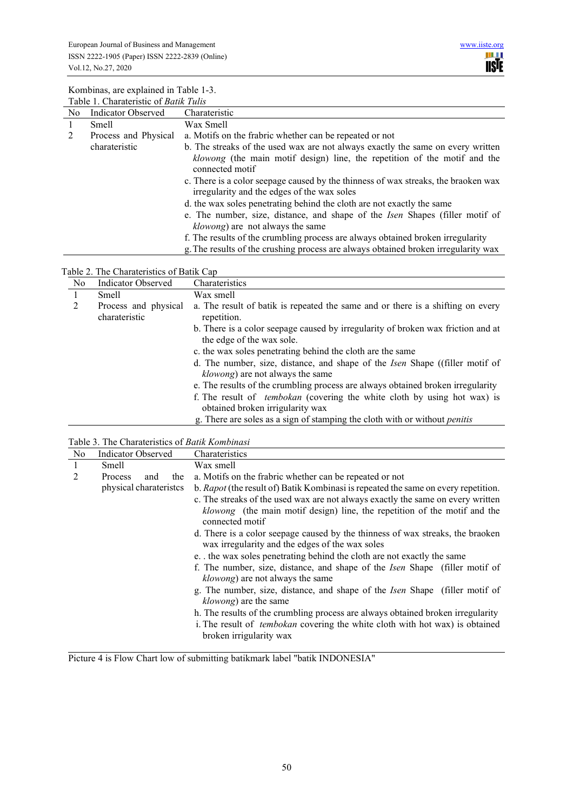

| Table 1. Charateristic of Batik Tulis |                      |                                                                                                                                                                                 |  |  |  |  |
|---------------------------------------|----------------------|---------------------------------------------------------------------------------------------------------------------------------------------------------------------------------|--|--|--|--|
| N <sub>o</sub>                        | Indicator Observed   | Charateristic                                                                                                                                                                   |  |  |  |  |
| $\perp$                               | Smell                | Wax Smell                                                                                                                                                                       |  |  |  |  |
|                                       | Process and Physical | a. Motifs on the frabric whether can be repeated or not                                                                                                                         |  |  |  |  |
|                                       | charateristic        | b. The streaks of the used wax are not always exactly the same on every written<br>klowong (the main motif design) line, the repetition of the motif and the<br>connected motif |  |  |  |  |
|                                       |                      | c. There is a color seepage caused by the thinness of wax streaks, the braoken wax<br>irregularity and the edges of the wax soles                                               |  |  |  |  |
|                                       |                      | d. the wax soles penetrating behind the cloth are not exactly the same                                                                                                          |  |  |  |  |
|                                       |                      | e. The number, size, distance, and shape of the <i>Isen</i> Shapes (filler motif of<br><i>klowong</i> ) are not always the same                                                 |  |  |  |  |
|                                       |                      | f. The results of the crumbling process are always obtained broken irregularity                                                                                                 |  |  |  |  |
|                                       |                      | g. The results of the crushing process are always obtained broken irregularity wax                                                                                              |  |  |  |  |

# Table 2. The Charateristics of Batik Cap

| No | <b>Indicator Observed</b>             | Charateristics                                                                                                                  |
|----|---------------------------------------|---------------------------------------------------------------------------------------------------------------------------------|
|    | Smell                                 | Wax smell                                                                                                                       |
|    | Process and physical<br>charateristic | a. The result of batik is repeated the same and or there is a shifting on every<br>repetition.                                  |
|    |                                       | b. There is a color seepage caused by irregularity of broken wax friction and at<br>the edge of the wax sole.                   |
|    |                                       | c. the wax soles penetrating behind the cloth are the same                                                                      |
|    |                                       | d. The number, size, distance, and shape of the <i>Isen</i> Shape ((filler motif of<br><i>klowong</i> ) are not always the same |
|    |                                       | e. The results of the crumbling process are always obtained broken irregularity                                                 |
|    |                                       | f. The result of <i>tembokan</i> (covering the white cloth by using hot wax) is                                                 |
|    |                                       | obtained broken irrigularity wax                                                                                                |
|    |                                       | g. There are soles as a sign of stamping the cloth with or without <i>penitis</i>                                               |

# Table 3. The Charateristics of *Batik Kombinasi*

| No | Indicator Observed     |     |     | Charateristics                                                                                                                                                                                    |
|----|------------------------|-----|-----|---------------------------------------------------------------------------------------------------------------------------------------------------------------------------------------------------|
| 1  | Smell                  |     |     | Wax smell                                                                                                                                                                                         |
| 2  | Process                | and | the | a. Motifs on the frabric whether can be repeated or not                                                                                                                                           |
|    | physical charateristes |     |     | b. Rapot (the result of) Batik Kombinasi is repeated the same on every repetition.                                                                                                                |
|    |                        |     |     | c. The streaks of the used wax are not always exactly the same on every written<br>klowong (the main motif design) line, the repetition of the motif and the<br>connected motif                   |
|    |                        |     |     | d. There is a color seepage caused by the thinness of wax streaks, the braoken<br>wax irregularity and the edges of the wax soles                                                                 |
|    |                        |     |     | e. the wax soles penetrating behind the cloth are not exactly the same                                                                                                                            |
|    |                        |     |     | f. The number, size, distance, and shape of the Isen Shape (filler motif of<br><i>klowong</i> ) are not always the same                                                                           |
|    |                        |     |     | g. The number, size, distance, and shape of the <i>Isen</i> Shape (filler motif of<br><i>klowong</i> ) are the same                                                                               |
|    |                        |     |     | h. The results of the crumbling process are always obtained broken irregularity<br>i. The result of <i>tembokan</i> covering the white cloth with hot wax) is obtained<br>broken irrigularity wax |

Picture 4 is Flow Chart low of submitting batikmark label "batik INDONESIA"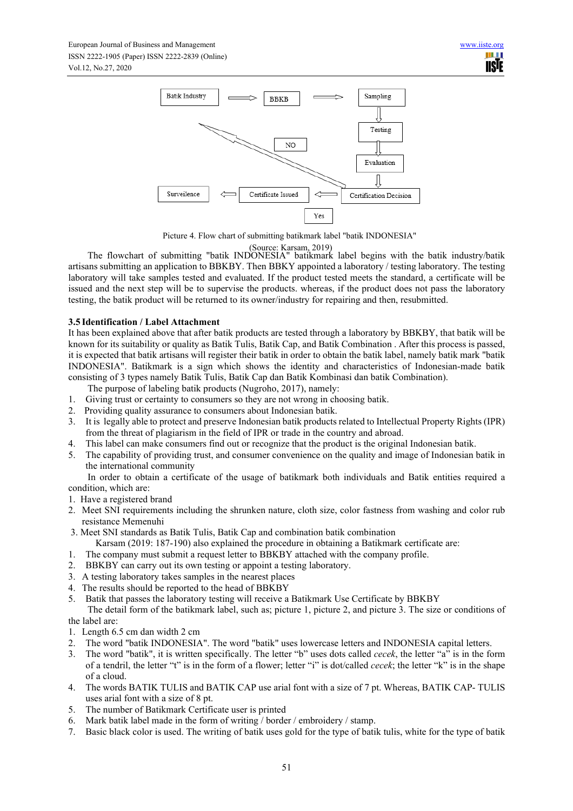

Picture 4. Flow chart of submitting batikmark label "batik INDONESIA"

(Source: Karsam, 2019)<br>The flowchart of submitting "batik INDONESIA" batikmark label begins with the batik industry/batik artisans submitting an application to BBKBY. Then BBKY appointed a laboratory / testing laboratory. The testing laboratory will take samples tested and evaluated. If the product tested meets the standard, a certificate will be issued and the next step will be to supervise the products. whereas, if the product does not pass the laboratory testing, the batik product will be returned to its owner/industry for repairing and then, resubmitted.

# **3.5 Identification / Label Attachment**

It has been explained above that after batik products are tested through a laboratory by BBKBY, that batik will be known for its suitability or quality as Batik Tulis, Batik Cap, and Batik Combination . After this process is passed, it is expected that batik artisans will register their batik in order to obtain the batik label, namely batik mark "batik INDONESIA". Batikmark is a sign which shows the identity and characteristics of Indonesian-made batik consisting of 3 types namely Batik Tulis, Batik Cap dan Batik Kombinasi dan batik Combination).

The purpose of labeling batik products (Nugroho, 2017), namely:

- 1. Giving trust or certainty to consumers so they are not wrong in choosing batik.
- 2. Providing quality assurance to consumers about Indonesian batik.
- 3. It is legally able to protect and preserve Indonesian batik products related to Intellectual Property Rights (IPR) from the threat of plagiarism in the field of IPR or trade in the country and abroad.
- 4. This label can make consumers find out or recognize that the product is the original Indonesian batik.
- 5. The capability of providing trust, and consumer convenience on the quality and image of Indonesian batik in the international community

In order to obtain a certificate of the usage of batikmark both individuals and Batik entities required a condition, which are:

- 1. Have a registered brand
- 2. Meet SNI requirements including the shrunken nature, cloth size, color fastness from washing and color rub resistance Memenuhi
- 3. Meet SNI standards as Batik Tulis, Batik Cap and combination batik combination
	- Karsam (2019: 187-190) also explained the procedure in obtaining a Batikmark certificate are:
- 1. The company must submit a request letter to BBKBY attached with the company profile.
- 2. BBKBY can carry out its own testing or appoint a testing laboratory.
- 3. A testing laboratory takes samples in the nearest places
- 4. The results should be reported to the head of BBKBY
- 5. Batik that passes the laboratory testing will receive a Batikmark Use Certificate by BBKBY

The detail form of the batikmark label, such as; picture 1, picture 2, and picture 3. The size or conditions of the label are:

- 1. Length 6.5 cm dan width 2 cm
- 2. The word "batik INDONESIA". The word "batik" uses lowercase letters and INDONESIA capital letters.
- 3. The word "batik", it is written specifically. The letter "b" uses dots called *cecek*, the letter "a" is in the form of a tendril, the letter "t" is in the form of a flower; letter "i" is dot/called *cecek*; the letter "k" is in the shape of a cloud.
- 4. The words BATIK TULIS and BATIK CAP use arial font with a size of 7 pt. Whereas, BATIK CAP- TULIS uses arial font with a size of 8 pt.
- 5. The number of Batikmark Certificate user is printed
- 6. Mark batik label made in the form of writing / border / embroidery / stamp.
- 7. Basic black color is used. The writing of batik uses gold for the type of batik tulis, white for the type of batik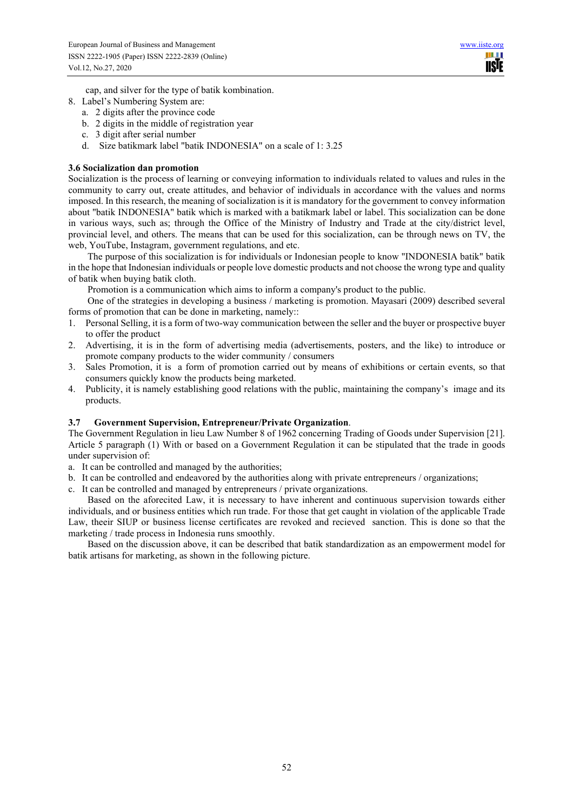cap, and silver for the type of batik kombination.

- 8. Label's Numbering System are:
	- a. 2 digits after the province code
	- b. 2 digits in the middle of registration year
	- c. 3 digit after serial number
	- d. Size batikmark label "batik INDONESIA" on a scale of 1: 3.25

### **3.6 Socialization dan promotion**

Socialization is the process of learning or conveying information to individuals related to values and rules in the community to carry out, create attitudes, and behavior of individuals in accordance with the values and norms imposed. In this research, the meaning of socialization is it is mandatory for the government to convey information about "batik INDONESIA" batik which is marked with a batikmark label or label. This socialization can be done in various ways, such as; through the Office of the Ministry of Industry and Trade at the city/district level, provincial level, and others. The means that can be used for this socialization, can be through news on TV, the web, YouTube, Instagram, government regulations, and etc.

The purpose of this socialization is for individuals or Indonesian people to know "INDONESIA batik" batik in the hope that Indonesian individuals or people love domestic products and not choose the wrong type and quality of batik when buying batik cloth.

Promotion is a communication which aims to inform a company's product to the public.

One of the strategies in developing a business / marketing is promotion. Mayasari (2009) described several forms of promotion that can be done in marketing, namely::

- 1. Personal Selling, it is a form of two-way communication between the seller and the buyer or prospective buyer to offer the product
- 2. Advertising, it is in the form of advertising media (advertisements, posters, and the like) to introduce or promote company products to the wider community / consumers
- 3. Sales Promotion, it is a form of promotion carried out by means of exhibitions or certain events, so that consumers quickly know the products being marketed.
- 4. Publicity, it is namely establishing good relations with the public, maintaining the company's image and its products.

### **3.7 Government Supervision, Entrepreneur/Private Organization**.

The Government Regulation in lieu Law Number 8 of 1962 concerning Trading of Goods under Supervision [21]. Article 5 paragraph (1) With or based on a Government Regulation it can be stipulated that the trade in goods under supervision of:

- a. It can be controlled and managed by the authorities;
- b. It can be controlled and endeavored by the authorities along with private entrepreneurs / organizations;
- c. It can be controlled and managed by entrepreneurs / private organizations.

Based on the aforecited Law, it is necessary to have inherent and continuous supervision towards either individuals, and or business entities which run trade. For those that get caught in violation of the applicable Trade Law, theeir SIUP or business license certificates are revoked and recieved sanction. This is done so that the marketing / trade process in Indonesia runs smoothly.

Based on the discussion above, it can be described that batik standardization as an empowerment model for batik artisans for marketing, as shown in the following picture.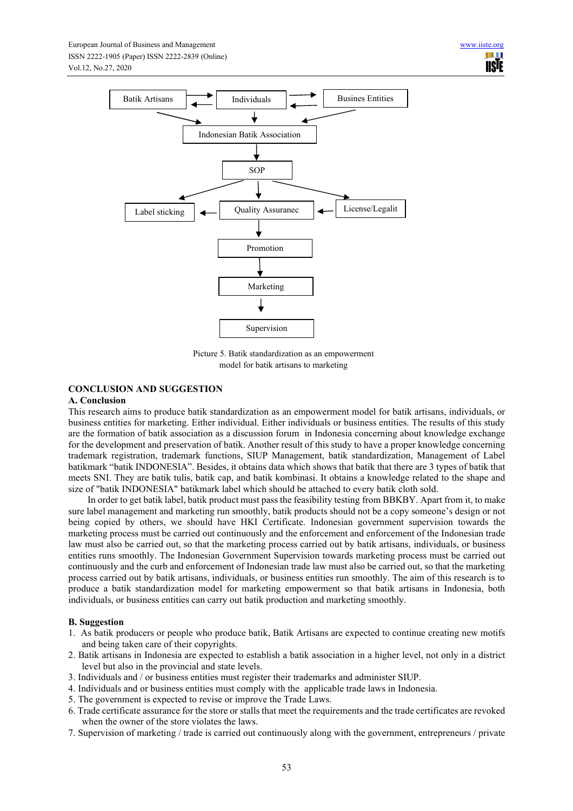

Picture 5. Batik standardization as an empowerment model for batik artisans to marketing

# **CONCLUSION AND SUGGESTION**

### **A. Conclusion**

This research aims to produce batik standardization as an empowerment model for batik artisans, individuals, or business entities for marketing. Either individual. Either individuals or business entities. The results of this study are the formation of batik association as a discussion forum in Indonesia concerning about knowledge exchange for the development and preservation of batik. Another result of this study to have a proper knowledge concerning trademark registration, trademark functions, SIUP Management, batik standardization, Management of Label batikmark "batik INDONESIA". Besides, it obtains data which shows that batik that there are 3 types of batik that meets SNI. They are batik tulis, batik cap, and batik kombinasi. It obtains a knowledge related to the shape and size of "batik INDONESIA" batikmark label which should be attached to every batik cloth sold.

In order to get batik label, batik product must pass the feasibility testing from BBKBY. Apart from it, to make sure label management and marketing run smoothly, batik products should not be a copy someone's design or not being copied by others, we should have HKI Certificate. Indonesian government supervision towards the marketing process must be carried out continuously and the enforcement and enforcement of the Indonesian trade law must also be carried out, so that the marketing process carried out by batik artisans, individuals, or business entities runs smoothly. The Indonesian Government Supervision towards marketing process must be carried out continuously and the curb and enforcement of Indonesian trade law must also be carried out, so that the marketing process carried out by batik artisans, individuals, or business entities run smoothly. The aim of this research is to produce a batik standardization model for marketing empowerment so that batik artisans in Indonesia, both individuals, or business entities can carry out batik production and marketing smoothly.

### **B. Suggestion**

- 1. As batik producers or people who produce batik, Batik Artisans are expected to continue creating new motifs and being taken care of their copyrights.
- 2. Batik artisans in Indonesia are expected to establish a batik association in a higher level, not only in a district level but also in the provincial and state levels.
- 3. Individuals and / or business entities must register their trademarks and administer SIUP.
- 4. Individuals and or business entities must comply with the applicable trade laws in Indonesia.
- 5. The government is expected to revise or improve the Trade Laws.
- 6. Trade certificate assurance for the store or stalls that meet the requirements and the trade certificates are revoked when the owner of the store violates the laws.
- 7. Supervision of marketing / trade is carried out continuously along with the government, entrepreneurs / private